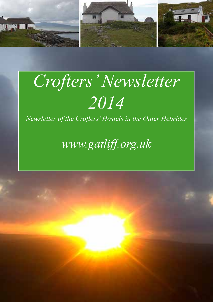

# $Crofters' Newsletter$ *2014*

*Newsletter of the Crofters' Hostels in the Outer Hebrides*

*www.gatliff.org.uk*

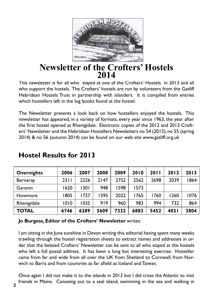

## **Newsletter of the Crofters' Hostels 2014**

This newsletter is for all who stayed at one of the Crofters' Hostels in 2013 and all who support the hostels. The Crofters' hostels are run by volunteers from the Gatliff Hebridean Hostels Trust in partnership with islanders. It is compiled from entries which hostellers left in the log books found at the hostel.

The Newsletter presents a look back on how hostellers enjoyed the hostels. This newsletter has appeared, in a variety of formats, every year since 1963, the year after the first hostel opened at Rhenigidale. Electronic copies of the 2012 and 2013 Crofters' Newsletter and the Hebridean Hostellers Newsletters no 54 (2013), no 55 (spring 2014) & no 56 (autumn 2014) can be found on our web site www.gatliff.org.uk

| <b>Overnights</b> | 2006 | 2007 | 2008 | 2009 | 2010 | 2011 | 2012  | 2013 |
|-------------------|------|------|------|------|------|------|-------|------|
| Berneray          | 2311 | 2226 | 2147 | 2752 | 2562 | 2698 | 2039  | 1864 |
| Garenin           | 1620 | 1301 | 948  | 1598 | 1573 |      |       |      |
| Howmore           | 1805 | 1727 | 1595 | 2022 | 1765 | 1760 | 1260  | 1076 |
| Rhenigidale       | 1010 | 1035 | 919  | 960  | 983  | 994  | 732   | 864  |
| <b>TOTAL</b>      | 6746 | 6289 | 5609 | 7332 | 6883 | 5452 | 403 I | 3804 |

## **Hostel Results for 2013**

#### **Jo Burgess, Editor of the Crofters' Newsletter** writes:

I am sitting in the June sunshine in Devon writing this editorial having spent many weeks trawling through the hostel registration sheets to extract names and addresses in order that the belated Crofters' Newsletter can be sent to all who stayed at the hostels who left a full postal address. It has been a long but interesting exercise. Hosteller came from far and wide from all over the UK from Shetland to Cornwall, from Norwich to Barra and from countries as far afield as Iceland and Taiwan.

Once again I did not make it to the islands in 2013 but I did cross the Atlantic to visit friends in Maine. Canoeing out to a seal island, swimming in the sea and walking in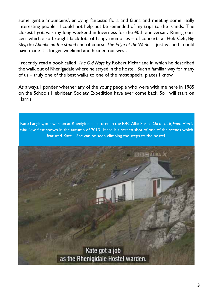some gentle 'mountains', enjoying fantastic flora and fauna and meeting some really interesting people, I could not help but be reminded of my trips to the islands. The closest I got, was my long weekend in Inverness for the 40th anniversary Runrig concert which also brought back lots of happy memories – of concerts at Heb Celt, Big Sky, the *Atlantic on the strand* and of course *The Edge of the World.* I just wished I could have made it a longer weekend and headed out west.

I recently read a book called *The Old Ways* by Robert McFarlane in which he described the walk out of Rhenigadale where he stayed in the hostel. Such a familiar way for many of us – truly one of the best walks to one of the most special places I know.

As always, I ponder whether any of the young people who were with me here in 1985 on the Schools Hebridean Society Expedition have ever come back. So I will start on Harris.

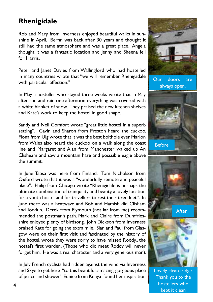## **Rhenigidale**

Rob and Mary from Inverness enjoyed beautiful walks in sunshine in April. Bernn was back after 30 years and thought it still had the same atmosphere and was a great place. Angela thought it was a fantastic location and Jenny and Sheena fell for Harris.

Peter and Janet Davies from Wallingford who had hostelled in many countries wrote that "we will remember Rhenigadale with particular affection."

In May a hosteller who stayed three weeks wrote that in May after sun and rain one afternoon everything was covered with a white blanket of snow. They praised the new kitchen shelves and Kate's work to keep the hostel in good shape.

Sandy and Neil Comfort wrote "great little hostel in a superb setting". Gavin and Sharon from Preston heard the cuckoo, Fiona from Uig wrote that it was the best bolthole ever, Marion from Wales also heard the cuckoo on a walk along the coast line and Margaret and Alan from Manchester walked up An Clisheam and saw a mountain hare and posssible eagle above the summit.

In June Tapsa was here from Finland. Tom Nicholson from Oxford wrote that it was a "wonderfully remote and peaceful place". Philip from Chicago wrote "Rhenigidale is perhaps the ultimate combination of tranquility and beauty, a lovely location for a youth hostel and for travellers to rest their tired feet". In June there was a heatwave and Bob and Hamish did Clisham and Toddun. Derek from Plymouth (not far from me) recommended the postman's path. Mark and Claire from Dumfriesshire enjoyed plenty of birdsong. John Dickson from Inverness praised Kate for going the extra mile. Sian and Paul from Glasgow were on their first visit and fascinated by the history of the hostel, wrote they were sorry to have missed Roddy., the hostel's first warden. (Those who did meet Roddy will never forget him. He was a real character and a very generous man).

In July French cyclists had ridden against the wind via Inverness and Skye to get here "to this beautiful, amazing, gorgeous place of peace and shower." Eunice from Kenya found her inspiration





Lovely clean fridge. Thank you to the hostellers who kept it clean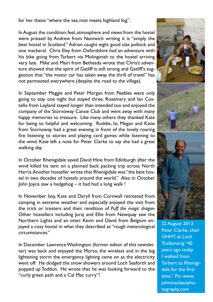for her thesis "where the sea mist meets highland fog".

In August the condition, feel, atmosphere and views from the hostel were praised by Andrew from Nantwich writing it is "simply the best hostel in Scotland." Adrian caught eight good size pollock and one mackeral. Chris Eley from Oxfordshire had an adventure with his bike going from Tarbert via Molinginish to the hostel arriving very late. Mike and Mairi from Bethesda wrote that Chris's adventure showed that the spirit of Gatliff is still strong and Gatliff's suggestion that "the motor car has taken away the thrill of travel" has not permeated everywhere (despite the road to the village).

In September Maggie and Peter Morgan from Peebles were only going to stay one night but stayed three. Rosemary and Ian Costello from Leyland stayed longer than intended too and enjoyed the company of the Stornoway Canoe Club and went away with many happy memories to treasure. Like many others they thanked Kate for being so helpful and welcoming. Roddie, Isi, Megan and Katie from Stornoway had a great evening in front of the lovely roaring fire listening to stories and playing card games while listening to the wind. Kate left a note for Peter Clarke to say she had a great walking day.

In October Rhenigidale saved David Hine from Edinburgh after the wind killed his tent on a planned back packing trip across North Harris. Another hosteller wrote that Rhenigidale was "the best hostel in two decades of hostels around the world." Also in October John Joyce saw a hedgehog – it had had a long walk !

In November Issy, Kate and Daryll from Cornwall retreated from camping in extreme weather and especially enjoyed the visit from the trick or treaters and their rendition of *Puff the magic dragon.*  Other hostellers including Juraj and Ellie from Newquay saw the Northern Lights and an otter. Kevin and David from Belgium enjoyed a cosy hostel in what they described as "rough meterological circumstances."

In December Lawrence Washington (former editor of this newsletter) was back and enjoyed the Morso, the wireless and in the big lightening storm the emergency lighting came on as the electricity went off. He dodged the snow showers around Loch Seaforth and popped up Toddun. He wrote that he was looking forward to the "curly green path and a Cal Mac curry"!







22 August 2013: Peter Clarke, chair GHHT, at Loch Trollamarig "40 years ago today I walked from Tarbert to Rhenigidale for the first time." Pic: www. johnmacleanphotography.com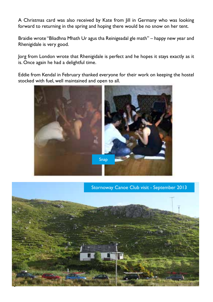A Christmas card was also received by Kate from Jill in Germany who was looking forward to returning in the spring and hoping there would be no snow on her tent.

Braidie wrote "Bliadhna Mhath Ur agus tha Reinigeadal gle math" – happy new year and Rhenigidale is very good.

Jorg from London wrote that Rhenigidale is perfect and he hopes it stays exactly as it is. Once again he had a delightful time.

Eddie from Kendal in February thanked everyone for their work on keeping the hostel stocked with fuel, well maintained and open to all.



Stornoway Canoe Club visit - September 2013

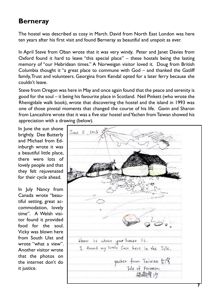## **Berneray**

The hostel was described as cosy in March. David from North East London was here ten years after his first visit and found Berneray as beautiful and unspoit as ever.

In April Steve from Oban wrote that it was very windy. Peter and Janet Davies from Oxford found it hard to leave "this special place" – these hostels being the lasting memory of "our Hebridean times." A Norweigan visitor loved it. Doug from British Columbia thought it "a great place to commune with God – and thanked the Gatliff family, Trust and volunteers. Georgina from Kendal opted for a later ferry because she couldn't leave.

Steve from Oregon was here in May and once again found that the peace and serenity is good for the soul – it being his favourite place in Scotland. Neil Pinkett (who wrote the Rhenigidale walk book), wrote that discovering the hostel and the island in 1993 was one of those pivotal moments that changed the course of his life. Gavin and Sharon from Lancashire wrote that it was a five star hostel and Yachen from Taiwan showed his appreciation with a drawing (below).

In June the sun shone brightly. Dee Butterly and Michael from Edinburgh wrote it was a beautiful little place, there were lots of lovely people and that they felt rejuvenated for their cycle ahead.

In July Nancy from Canada wrote "beautiful setting, great accommodation, lovely time". A Welsh visitor found it provided food for the soul. Vicky was blown here from South Uist and wrote "what a view". Another visitor wrote that the photos on the internet don't do it justice.

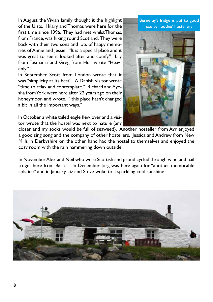In August the Vivian family thought it the highlight of the Uists. Hilary and Thomas were here for the first time since 1996. They had met whilstThomas, from France, was hiking round Scotland. They were back with their two sons and lots of happy memories of Annie and Jessie. "It is a special place and it was great to see it looked after and comfy." Lily from Tasmania and Greg from Hull wrote "Heavenly."

In September Scott from London wrote that it was "simplicity at its best'" A Danish visitor wrote "time to relax and contemplate." Richard and Ayesha from York were here after 22 years ago on their honeymoon and wrote, "this place hasn't changed a bit in all the important ways."

In October a white tailed eagle flew over and a visitor wrote that the hostel was next to nature (any

closer and my socks would be full of seaweed). Another hosteller from Ayr enjoyed a good sing song and the company of other hostellers. Jessica and Andrew from New Mills in Derbyshire on the other hand had the hostel to themselves and enjoyed the cosy room with the rain hammering down outside.

In November Alex and Neil who were Scottish and proud cycled through wind and hail to get here from Barra. In December Jorg was here again for "another memorable solstice" and in January Liz and Steve woke to a sparkling cold sunshine.



Berneray's fridge is put to good use by 'foodiie' hostellers

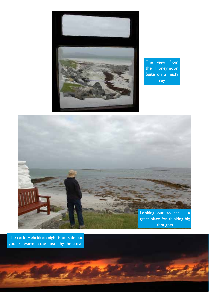

The view from the Honeymoon Suite on a misty day



The dark Hebridean night is outside but you are warm in the hostel by the stove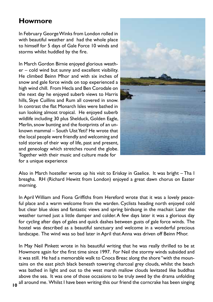## **Howmore**

In February George Winks from London rolled in with beautiful weather and had the whole place to himself for 5 days of Gale Force 10 winds and storms whilst huddled by the fire.

In March Gordon Birnie enjoyed glorious weather – cold wind but sunny and excellent visibility. He climbed Beinn Mhor and with six inches of snow and gale force winds on top experienced a high wind chill. From Hecla and Ben Corodale on the next day he enjoyed suberb views to Harris hills, Skye Cuillins and Rum all covered in snow. In contrast the flat Monarch Isles were bathed in sun looking almost tropical. He enjoyed suberb wildlife including 30 plus Shelduck, Golden Eagle, Merlin, snow bunting and the footprints of an unknown mammal – South Uist Yeti? He wrote that the local people were friendly and welcoming and told stories of their way of life, past and present, and geneology which stretches round the globe. Together with their music and culture made for for a unique experience



Also in March hosteller wrote up his visit to Eriskay in Gaelice. It was bright – Tha I breagha. RH (Richard Hewitt from London) enjoyed a great dawn chorus on Easter morning.

In April William and Fiona Griffiths from Hereford wrote that it was a lovely peaceful place and a warm welcome from the warden. Cyclists heading north enjoyed cold but clear blue skies and fantastic views and spring birdsong in the machair. Later the weather turned just a little damper and colder. A few days later it was a glorious day for cycling after days of gales and quick dashes between gusts of gale force winds. The hostel was described as a beautiful sanctuary and welcome in a wonderful precious landscape. The wind was so bad later in April that Anna was driven off Beinn Mhor.

In May Neil Pinkett wrote in his beautiful writing that he was really thrilled to be at Howmore again for the first time since 1997. For Neil the stormy winds subsided and it was still. He had a memorable walk to Cnoca Breac along the shore "with the mountains on the east pitch black beneath towering charcoal grey clouds, whilst the beach was bathed in light and out to the west marsh mallow clouds levitated like buddhas above the sea. It was one of those occasions to be truly awed by the drama unfolding all around me. Whilst I have been writing this our friend the corncrake has been singing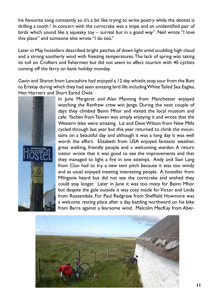his favourite song constantly so it's a bit like trying to write poetry while the dentist is drilling a tooth ! In concert with the corncrake was a snipe and an unidentified pair of birds which sound like a squeaky toy – surreal but in a good way". Neil wrote "I love this place" and someone else wrote "I do too."

Later in May hostellers described bright patches of down light amid scudding high cloud and a strong southerly wind with freezing temperatures. The lack of spring was taking its toll on Crofters and fishermen but did not seem to affect tourism with 40 cyclists coming off the ferry on bank holiday monday.

Gavin and Sharon from Lancashire had enjoyed a 12 day whistle stop tour from the Butt to Eriskay during which they had seen amazing bird life including White Tailed Sea Eagles, Hen Harriers and Short Eared Owls.



In June Margaret and Alan Manning from Manchester enjoyed watching the Renfrew crew win Jenga. During the next couple of days they climbed Beinn Mhor and visited the local museum and cafe. Yachen from Taiwan was simply enjoying it and wrote that the Western Isles were amazing. Liz and Dave Wilson from New Mills cycled through last year but this year returned to climb the mountains on a beautiful day and although it was a long day it was well worth the effort. Elizabeth from USA enjoyed fantastic weather, great walking, friendly people and a welcoming warden. A return visitor wrote that it was good to see the improvements and that they managed to light a fire in one attempt. Andy and Sian Lang from Clun had to try a new tent pitch because it was too windy and as usual enjoyed meeting interesting people. A hosteller from Milngavie heard but did not see the corncrake and wished they could stay longer. Later in June it was too misty for Beinn Mhor but despite the gale outside it was cosy inside for Victor and Linda from Rossendale. For Paul Redgrave from Sheffield Howmore was a welcome resting place after a day battling northward on his bike from Barra against a fearsome wind. Malcolm MacKay from Aber-

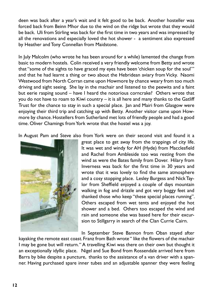deen was back after a year's wait and it felt good to be back. Another hosteller was forced back from Beinn Mhor due to the wind on the ridge but wrote that they would be back. Uli from Stirling was back for the first time in two years and was impressed by all the renovations and especially loved the hot shower - a sentiment also expressed by Heather and Tony Connellan from Maidstone.

In July Malcolm (who wrote he has been around for a while) lamented the change from basic to modern hostels. Colin received a very friendly welcome from Betty and wrote that "some of the sights to have graced my eyes have been 'chicken soup for the soul'" and that he had learnt a thing or two about the Hebridean aviary from Vicky. Naomi Westwood from North Corran came upon Howmore by chance weary from too much driving and sight seeing. She lay in the machair and listened to the peewits and a faint but eerie rasping sound – have I heard the notorious corncrake? Others wrote that you do not have to roam to Kiwi country – it is all here and many thanks to the Gatliff Trust for the chance to stay in such a special place. Jan and Mairi from Glasgow were enjoying their third trip and catching up with Betty. Another visitor came upon Howmore by chance. Hostellers from Sutherland met lots of friendly people and had a good time. Oliver Chamings from York wrote that the hostel was a joy.

In August Pam and Steve also from York were on their second visit and found it a



great place to get away from the trappings of city life. It was wet and windy for AH (Hyde) from Macclesfield and Rachel from Ambleside too was resting from the wind as were the Bates family from Dover. Hilary from Inverness was back for the first time in 30 years and wrote that it was lovely to find the same atmosphere and a cosy stopping place. Lesley Burgess and Nick Taylor from Sheffield enjoyed a couple of days mountain walking in fog and drizzle and got very boggy feet and thanked those who keep "these special places running". Others escaped from wet tents and enjoyed the hot shower and a bed. Others too escaped the wind and rain and someone else was based here for their excursion to Stillgarry in search of the Clan Currie Cairn.

In September Steve Bannon from Oban stayed after

kayaking the remote east coast. Franz from Bath wrote " like the flowers of the machair I may be gone but will return. " A travelling Kiwi was there on their own but thought it an exceptionally idyllic place. Nigel and Sue Bond from Rossendale arrived here from Barra by bike despite a puncture, thanks to the assistance of a van driver with a spanner. Having purchased spare inner tubes and an adjustable spanner they were feeling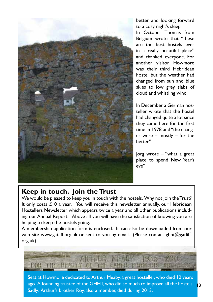

better and looking forward to a cosy night's sleep.

In October Thomas from Belgium wrote that "these are the best hostels ever in a really beautiful place" and thanked everyone. For another visitor Howmore was their third Hebridean hostel but the weather had changed from sun and blue skies to low grey slabs of cloud and whistling wind.

In December a German hosteller wrote that the hostel had changed quite a lot since they came here for the first time in 1978 and "the changes were – mostly – for the better."

Jorg wrote – "what a great place to spend New Year's eve"

#### **Keep in touch. Join the Trust**

We would be pleased to keep you in touch with the hostels. Why not join the Trust? It only costs £10 a year. You will receive this newsletter annually, our Hebridean Hostellers Newsletter which appears twice a year and all other publications including our Annual Report. Above all you will have the satisfaction of knowing you are helping to keep the hostels going.

A membership application form is enclosed. It can also be downloaded from our web site www.gatliff.org.uk or sent to you by email. (Please contact ghht@gatliff. org.uk)



Seat at Howmore dedicated to Arthur Meaby, a great hosteller, who died 10 years ago. A founding trustee of the GHHT, who did so much to improve all the hostels. **13** Sadly, Arthur's brother Roy, also a member, died during 2013.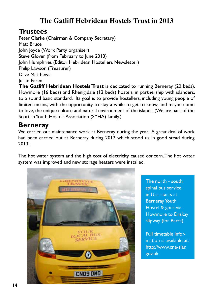## **The Gatliff Hebridean Hostels Trust in 2013**

#### **Trustees**

Peter Clarke (Chairman & Company Secretary) Matt Bruce John Joyce (Work Party organiser) Steve Glover (from February to lune 2013) John Humphries (Editor Hebridean Hostellers Newsletter) Philip Lawson (Treasurer) Dave Matthews Julian Paren

**The Gatliff Hebridean Hostels Trust** is dedicated to running Berneray (20 beds), Howmore (16 beds) and Rhenigidale (12 beds) hostels, in partnership with islanders, to a sound basic standard. Its goal is to provide hostellers, including young people of limited means, with the opportunity to stay a while to get to know, and maybe come to love, the unique culture and natural environment of the islands. (We are part of the Scottish Youth Hostels Association (SYHA) family.)

### **Berneray**

We carried out maintenance work at Berneray during the year. A great deal of work had been carried out at Berneray during 2012 which stood us in good stead during 2013.

The hot water system and the high cost of electricity caused concern. The hot water system was improved and new storage heaters were installed.



The north - south spinal bus service in Uist starts at Berneray Youth Hostel & goes via Howmore to Eriskay slipway (for Barra).

Full timetable information is available at: http://www.cne-siar. gov.uk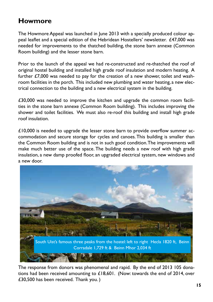## **Howmore**

The Howmore Appeal was launched in June 2013 with a specially produced colour appeal leaflet and a special edition of the Hebridean Hostellers' newsletter. £47,000 was needed for improvements to the thatched building, the stone barn annexe (Common Room building) and the lesser stone barn.

Prior to the launch of the appeal we had re-constructed and re-thatched the roof of original hostel building and installed high grade roof insulation and modern heating. A further £7,000 was needed to pay for the creation of a new shower, toilet and washroom facilities in the porch. This included new plumbing and water heating, a new electrical connection to the building and a new electrical system in the building.

£30,000 was needed to improve the kitchen and upgrade the common room facilities in the stone barn annexe (Common Room building). This includes improving the shower and toilet facilities. We must also re-roof this building and install high grade roof insulation.

 $£10,000$  is needed to upgrade the lesser stone barn to provide overflow summer accommodation and secure storage for cycles and canoes. This building is smaller than the Common Room building and is not in such good condition. The improvements will make much better use of the space. The building needs a new roof with high grade insulation, a new damp proofed floor, an upgraded electrical system, new windows and a new door.



The response from donors was phenomenal and rapid. By the end of 2013 105 donations had been received amounting to £18,601. (Now: towards the end of 2014, over £30,500 has been received. Thank you. )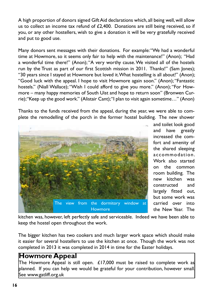A high proportion of donors signed Gift Aid declarations which, all being well, will allow us to collect an income tax refund of  $£2,400$ . Donations are still being received, so if you, or any other hostellers, wish to give a donation it will be very gratefully received and put to good use.

Many donors sent messages with their donations. For example: "We had a wonderful time at Howmore, so it seems only fair to help with the maintenance!" (Anon); "Had a wonderful time there!" (Anon); "A very worthy cause. We visited all of the hostels run by the Trust as part of our first Scottish mission in 2011. Thanks!" (Sam Jones); "30 years since I stayed at Howmore but loved it. What hostelling is all about!" (Anon); "Good luck with the appeal. I hope to visit Howmore again soon." (Anon); "Fantastic hostels." (Niall Wallace); "Wish I could afford to give you more." (Anon); "For Howmore – many happy memories of South Uist and hope to return soon" (Bronwen Currie); "Keep up the good work." (Alistair Cant); "I plan to visit again sometime…" (Anon)

Thanks to the funds received from the appeal, during the year, we were able to complete the remodelling of the porch in the former hostel building. The new shower



and toilet look good and have greatly increased the comfort and amenity of the shared sleeping accommodation. Work also started on the common room building. The new kitchen was constructed and largely fitted out, but some work was carried over into the New Year. The

kitchen was, however, left perfectly safe and serviceable. Indeed we have been able to keep the hostel open throughout the work.

The bigger kitchen has two cookers and much larger work space which should make it easier for several hostellers to use the kitchen at once. Though the work was not completed in 2013 it was completed in 2014 in time for the Easter holidays.

#### **Howmore Appeal**

The Howmore Appeal is still open. £17,000 must be raised to complete work as planned. If you can help we would be grateful for your contribution, however small. See www.gatliff.org.uk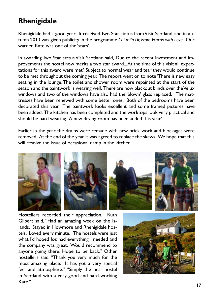## **Rhenigidale**

Rhenigidale had a good year. It received Two Star status from Visit Scotland, and in autumn 2013 was given publicity in the programme *Chi mi'n Tir, From Harris with Love*. Our warden Kate was one of the 'stars'.

In awarding Two Star status Visit Scotland said, 'Due to the recent investment and improvements the hostel now merits a two star award... At the time of this visit all expectations for this award were met.' Subject to normal wear and tear they would continue to be met throughout the coming year. The report went on to note 'There is new easy seating in the lounge. The toilet and shower room were repainted at the start of the season and the paintwork is wearing well. There are now blackout blinds over the Velux windows and two of the windows have also had the 'blown' glass replaced. The mattresses have been renewed with some better ones. Both of the bedrooms have been decorated this year. The paintwork looks excellent and some framed pictures have been added. The kitchen has been completed and the worktops look very practical and should be hard wearing. A new drying room has been added this year.'

Earlier in the year the drains were remade with new brick work and blockages were removed. At the end of the year it was agreed to replace the skews. We hope that this will resolve the issue of occasional damp in the kitchen.



Hostellers recorded their appreciation. Ruth Gilbert said, "Had an amazing week on the islands. Stayed in Howmore and Rhenigidale hostels. Loved every minute. The hostels were just what I'd hoped for, had everything I needed and the company was great. Would recommend to anyone going there. Hope to be back." Other hostellers said, "Thank you very much for the most amazing place. It has got a very special feel and atmosphere." "Simply the best hostel in Scotland with a very good and hard-working Kate"

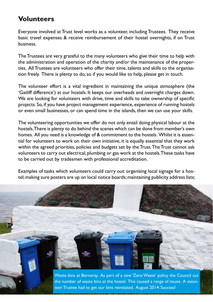## **Volunteers**

Everyone involved at Trust level works as a volunteer, including Trustees. They receive basic travel expenses & receive reimbursement of their hostel overnights, if on Trust business.

The Trustees are very grateful to the many volunteers who give their time to help with the administration and operation of the charity and/or the maintenance of the properties. All Trustees are volunteers who offer their time, talents and skills to the organisation freely. There is plenty to do, so if you would like to help, please get in touch.

The volunteer effort is a vital ingredient in maintaining the unique atmosphere (the 'Gatliff difference') at our hostels. It keeps our overheads and overnight charges down. We are looking for volunteers with drive, time and skills to take ownership of specific projects. So, if you have project management experience, experience of running hostels or even small businesses, or can spend time in the islands, then we can use your skills.

The volunteering opportunities we offer do not only entail doing physical labour at the hostels. There is plenty to do behind the scenes which can be done from member's own homes. All you need is a knowledge of & commitment to the hostels. Whilst it is essential for volunteers to work on their own initiative, it is equally essential that they work within the agreed priorities, policies and budgets set by the Trust. The Trust cannot ask volunteers to carry out electrical, plumbing or gas work at the hostels. These tasks have to be carried out by tradesmen with professional accreditation.

Examples of tasks which volunteers could carry out: organising local signage for a hostel; making sure posters are up on local notice boards; maintaining publicity address lists;

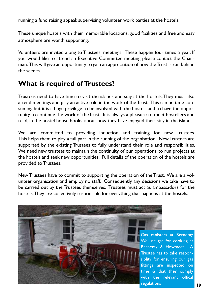running a fund raising appeal; supervising volunteer work parties at the hostels.

These unique hostels with their memorable locations, good facilities and free and easy atmosphere are worth supporting.

Volunteers are invited along to Trustees' meetings. These happen four times a year. If you would like to attend an Executive Committee meeting please contact the Chairman. This will give an opportunity to gain an appreciation of how the Trust is run behind the scenes.

## **What is required of Trustees?**

Trustees need to have time to visit the islands and stay at the hostels. They must also attend meetings and play an active role in the work of the Trust. This can be time consuming but it is a huge privilege to be involved with the hostels and to have the opportunity to continue the work of theTrust. It is always a pleasure to meet hostellers and read, in the hostel house books, about how they have enjoyed their stay in the islands.

We are committed to providing induction and training for new Trustees. This helps them to play a full part in the running of the organisation. New Trustees are supported by the existing Trustees to fully understand their role and responsibilities. We need new trustees to maintain the continuity of our operations, to run projects at the hostels and seek new opportunities. Full details of the operation of the hostels are provided to Trustees.

New Trustees have to commit to supporting the operation of the Trust. We are a volunteer organisation and employ no staff. Consequently any decisions we take have to be carried out by the Trustees themselves. Trustees must act as ambassadors for the hostels. They are collectively responsible for everything that happens at the hostels.



Gas canisters at Berneray. We use gas for cooking at Berneray & Howmore. A Trustee has to take responsiblity for ensuring our gas fittings are inspected on time & that they comply with the relevant offical regulations